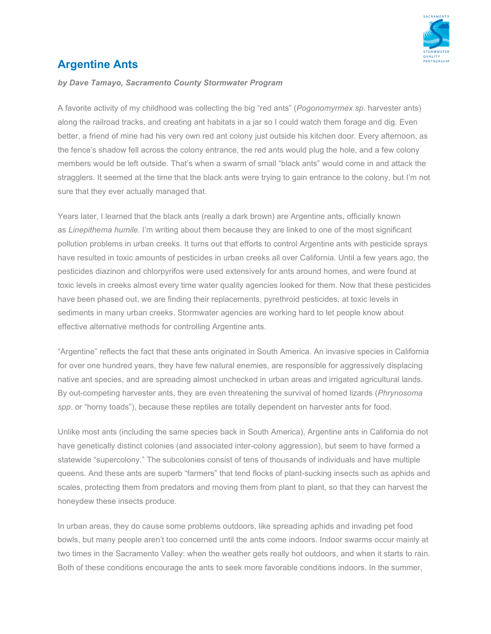

## **Argentine Ants**

## *by Dave Tamayo, Sacramento County Stormwater Program*

A favorite activity of my childhood was collecting the big "red ants" (*Pogonomyrmex sp*. harvester ants) along the railroad tracks, and creating ant habitats in a jar so I could watch them forage and dig. Even better, a friend of mine had his very own red ant colony just outside his kitchen door. Every afternoon, as the fence's shadow fell across the colony entrance, the red ants would plug the hole, and a few colony members would be left outside. That's when a swarm of small "black ants" would come in and attack the stragglers. It seemed at the time that the black ants were trying to gain entrance to the colony, but I'm not sure that they ever actually managed that.

Years later, I learned that the black ants (really a dark brown) are Argentine ants, officially known as *Linepithema humile*. I'm writing about them because they are linked to one of the most significant pollution problems in urban creeks. It turns out that efforts to control Argentine ants with pesticide sprays have resulted in toxic amounts of pesticides in urban creeks all over California. Until a few years ago, the pesticides diazinon and chlorpyrifos were used extensively for ants around homes, and were found at toxic levels in creeks almost every time water quality agencies looked for them. Now that these pesticides have been phased out, we are finding their replacements, pyrethroid pesticides, at toxic levels in sediments in many urban creeks. Stormwater agencies are working hard to let people know about effective alternative methods for controlling Argentine ants.

"Argentine" reflects the fact that these ants originated in South America. An invasive species in California for over one hundred years, they have few natural enemies, are responsible for aggressively displacing native ant species, and are spreading almost unchecked in urban areas and irrigated agricultural lands. By out-competing harvester ants, they are even threatening the survival of horned lizards (*Phrynosoma spp*. or "horny toads"), because these reptiles are totally dependent on harvester ants for food.

Unlike most ants (including the same species back in South America), Argentine ants in California do not have genetically distinct colonies (and associated inter-colony aggression), but seem to have formed a statewide "supercolony." The subcolonies consist of tens of thousands of individuals and have multiple queens. And these ants are superb "farmers" that tend flocks of plant-sucking insects such as aphids and scales, protecting them from predators and moving them from plant to plant, so that they can harvest the honeydew these insects produce.

In urban areas, they do cause some problems outdoors, like spreading aphids and invading pet food bowls, but many people aren't too concerned until the ants come indoors. Indoor swarms occur mainly at two times in the Sacramento Valley: when the weather gets really hot outdoors, and when it starts to rain. Both of these conditions encourage the ants to seek more favorable conditions indoors. In the summer,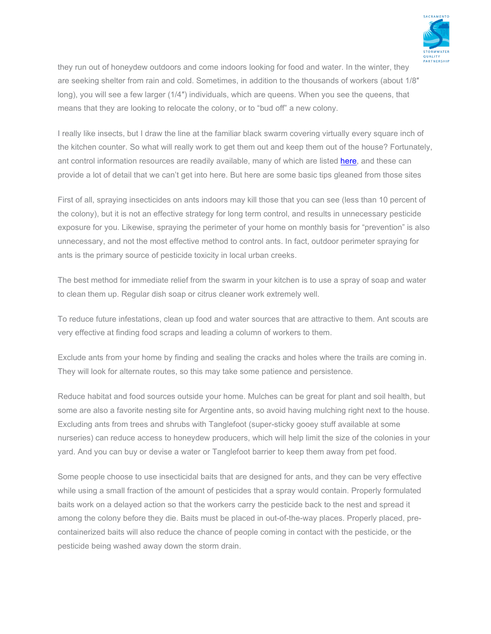

they run out of honeydew outdoors and come indoors looking for food and water. In the winter, they are seeking shelter from rain and cold. Sometimes, in addition to the thousands of workers (about 1/8″ long), you will see a few larger (1/4″) individuals, which are queens. When you see the queens, that means that they are looking to relocate the colony, or to "bud off" a new colony.

I really like insects, but I draw the line at the familiar black swarm covering virtually every square inch of the kitchen counter. So what will really work to get them out and keep them out of the house? Fortunately, ant control information resources are readily available, many of which are listed [here,](https://www.beriverfriendly.net/ControllingAnts/) and these can provide a lot of detail that we can't get into here. But here are some basic tips gleaned from those sites

First of all, spraying insecticides on ants indoors may kill those that you can see (less than 10 percent of the colony), but it is not an effective strategy for long term control, and results in unnecessary pesticide exposure for you. Likewise, spraying the perimeter of your home on monthly basis for "prevention" is also unnecessary, and not the most effective method to control ants. In fact, outdoor perimeter spraying for ants is the primary source of pesticide toxicity in local urban creeks.

The best method for immediate relief from the swarm in your kitchen is to use a spray of soap and water to clean them up. Regular dish soap or citrus cleaner work extremely well.

To reduce future infestations, clean up food and water sources that are attractive to them. Ant scouts are very effective at finding food scraps and leading a column of workers to them.

Exclude ants from your home by finding and sealing the cracks and holes where the trails are coming in. They will look for alternate routes, so this may take some patience and persistence.

Reduce habitat and food sources outside your home. Mulches can be great for plant and soil health, but some are also a favorite nesting site for Argentine ants, so avoid having mulching right next to the house. Excluding ants from trees and shrubs with Tanglefoot (super-sticky gooey stuff available at some nurseries) can reduce access to honeydew producers, which will help limit the size of the colonies in your yard. And you can buy or devise a water or Tanglefoot barrier to keep them away from pet food.

Some people choose to use insecticidal baits that are designed for ants, and they can be very effective while using a small fraction of the amount of pesticides that a spray would contain. Properly formulated baits work on a delayed action so that the workers carry the pesticide back to the nest and spread it among the colony before they die. Baits must be placed in out-of-the-way places. Properly placed, precontainerized baits will also reduce the chance of people coming in contact with the pesticide, or the pesticide being washed away down the storm drain.